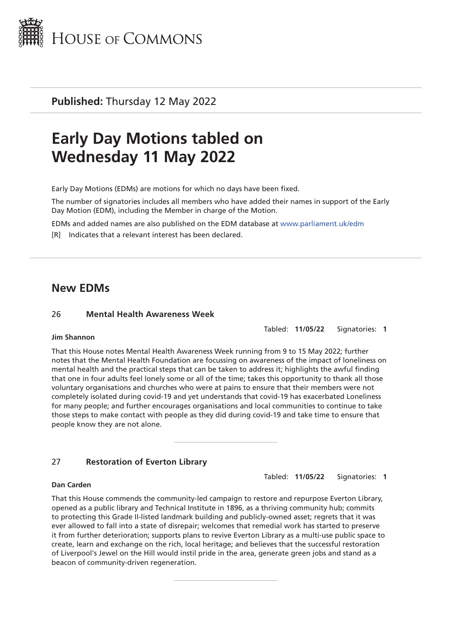

**Published:** Thursday 12 May 2022

# **Early Day Motions tabled on Wednesday 11 May 2022**

Early Day Motions (EDMs) are motions for which no days have been fixed.

The number of signatories includes all members who have added their names in support of the Early Day Motion (EDM), including the Member in charge of the Motion.

EDMs and added names are also published on the EDM database at [www.parliament.uk/edm](http://www.parliament.uk/edm)

[R] Indicates that a relevant interest has been declared.

# **New EDMs**

#### 26 **Mental Health Awareness Week**

Tabled: **11/05/22** Signatories: **1**

#### **Jim Shannon**

That this House notes Mental Health Awareness Week running from 9 to 15 May 2022; further notes that the Mental Health Foundation are focussing on awareness of the impact of loneliness on mental health and the practical steps that can be taken to address it; highlights the awful finding that one in four adults feel lonely some or all of the time; takes this opportunity to thank all those voluntary organisations and churches who were at pains to ensure that their members were not completely isolated during covid-19 and yet understands that covid-19 has exacerbated Loneliness for many people; and further encourages organisations and local communities to continue to take those steps to make contact with people as they did during covid-19 and take time to ensure that people know they are not alone.

# 27 **Restoration of Everton Library**

Tabled: **11/05/22** Signatories: **1**

#### **Dan Carden**

That this House commends the community-led campaign to restore and repurpose Everton Library, opened as a public library and Technical Institute in 1896, as a thriving community hub; commits to protecting this Grade II-listed landmark building and publicly-owned asset; regrets that it was ever allowed to fall into a state of disrepair; welcomes that remedial work has started to preserve it from further deterioration; supports plans to revive Everton Library as a multi-use public space to create, learn and exchange on the rich, local heritage; and believes that the successful restoration of Liverpool's Jewel on the Hill would instil pride in the area, generate green jobs and stand as a beacon of community-driven regeneration.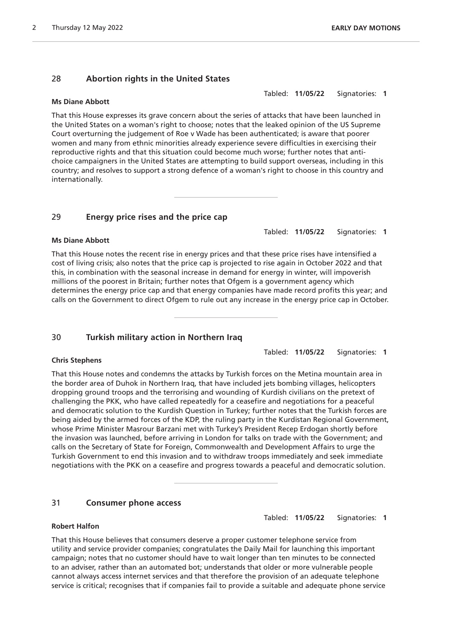# 28 **Abortion rights in the United States**

#### **Ms Diane Abbott**

Tabled: **11/05/22** Signatories: **1**

That this House expresses its grave concern about the series of attacks that have been launched in the United States on a woman's right to choose; notes that the leaked opinion of the US Supreme Court overturning the judgement of Roe v Wade has been authenticated; is aware that poorer women and many from ethnic minorities already experience severe difficulties in exercising their reproductive rights and that this situation could become much worse; further notes that antichoice campaigners in the United States are attempting to build support overseas, including in this country; and resolves to support a strong defence of a woman's right to choose in this country and internationally.

# 29 **Energy price rises and the price cap**

#### **Ms Diane Abbott**

That this House notes the recent rise in energy prices and that these price rises have intensified a cost of living crisis; also notes that the price cap is projected to rise again in October 2022 and that this, in combination with the seasonal increase in demand for energy in winter, will impoverish millions of the poorest in Britain; further notes that Ofgem is a government agency which determines the energy price cap and that energy companies have made record profits this year; and calls on the Government to direct Ofgem to rule out any increase in the energy price cap in October.

# 30 **Turkish military action in Northern Iraq**

Tabled: **11/05/22** Signatories: **1**

Tabled: **11/05/22** Signatories: **1**

# **Chris Stephens**

That this House notes and condemns the attacks by Turkish forces on the Metina mountain area in the border area of Duhok in Northern Iraq, that have included jets bombing villages, helicopters dropping ground troops and the terrorising and wounding of Kurdish civilians on the pretext of challenging the PKK, who have called repeatedly for a ceasefire and negotiations for a peaceful and democratic solution to the Kurdish Question in Turkey; further notes that the Turkish forces are being aided by the armed forces of the KDP, the ruling party in the Kurdistan Regional Government, whose Prime Minister Masrour Barzani met with Turkey's President Recep Erdogan shortly before the invasion was launched, before arriving in London for talks on trade with the Government; and calls on the Secretary of State for Foreign, Commonwealth and Development Affairs to urge the Turkish Government to end this invasion and to withdraw troops immediately and seek immediate negotiations with the PKK on a ceasefire and progress towards a peaceful and democratic solution.

# 31 **Consumer phone access**

Tabled: **11/05/22** Signatories: **1**

# **Robert Halfon**

That this House believes that consumers deserve a proper customer telephone service from utility and service provider companies; congratulates the Daily Mail for launching this important campaign; notes that no customer should have to wait longer than ten minutes to be connected to an adviser, rather than an automated bot; understands that older or more vulnerable people cannot always access internet services and that therefore the provision of an adequate telephone service is critical; recognises that if companies fail to provide a suitable and adequate phone service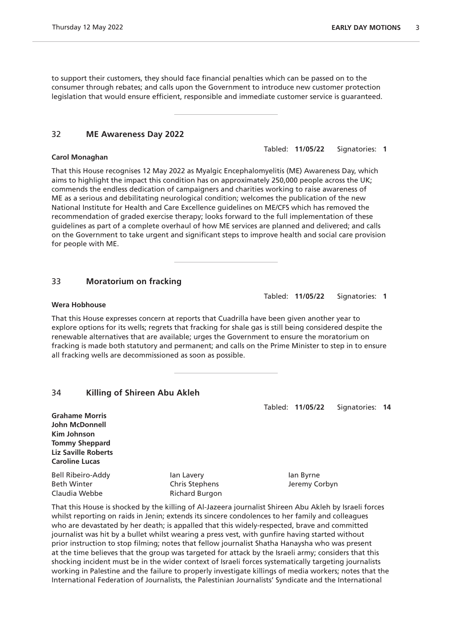to support their customers, they should face financial penalties which can be passed on to the consumer through rebates; and calls upon the Government to introduce new customer protection legislation that would ensure efficient, responsible and immediate customer service is guaranteed.

#### 32 **ME Awareness Day 2022**

#### **Carol Monaghan**

That this House recognises 12 May 2022 as Myalgic Encephalomyelitis (ME) Awareness Day, which aims to highlight the impact this condition has on approximately 250,000 people across the UK; commends the endless dedication of campaigners and charities working to raise awareness of ME as a serious and debilitating neurological condition; welcomes the publication of the new National Institute for Health and Care Excellence guidelines on ME/CFS which has removed the recommendation of graded exercise therapy; looks forward to the full implementation of these guidelines as part of a complete overhaul of how ME services are planned and delivered; and calls on the Government to take urgent and significant steps to improve health and social care provision for people with ME.

#### 33 **Moratorium on fracking**

#### **Wera Hobhouse**

That this House expresses concern at reports that Cuadrilla have been given another year to explore options for its wells; regrets that fracking for shale gas is still being considered despite the renewable alternatives that are available; urges the Government to ensure the moratorium on fracking is made both statutory and permanent; and calls on the Prime Minister to step in to ensure all fracking wells are decommissioned as soon as possible.

# 34 **Killing of Shireen Abu Akleh**

**Grahame Morris John McDonnell Kim Johnson Tommy Sheppard Liz Saville Roberts Caroline Lucas**

Bell Ribeiro-Addy **Ian Lavery** Ian Lavery Ian Byrne Beth Winter **Chris Stephens** Chris Stephens Jeremy Corbyn Claudia Webbe Richard Burgon

That this House is shocked by the killing of Al-Jazeera journalist Shireen Abu Akleh by Israeli forces whilst reporting on raids in Jenin; extends its sincere condolences to her family and colleagues who are devastated by her death; is appalled that this widely-respected, brave and committed journalist was hit by a bullet whilst wearing a press vest, with gunfire having started without prior instruction to stop filming; notes that fellow journalist Shatha Hanaysha who was present at the time believes that the group was targeted for attack by the Israeli army; considers that this shocking incident must be in the wider context of Israeli forces systematically targeting journalists working in Palestine and the failure to properly investigate killings of media workers; notes that the International Federation of Journalists, the Palestinian Journalists' Syndicate and the International

Tabled: **11/05/22** Signatories: **1**

Tabled: **11/05/22** Signatories: **1**

Tabled: **11/05/22** Signatories: **14**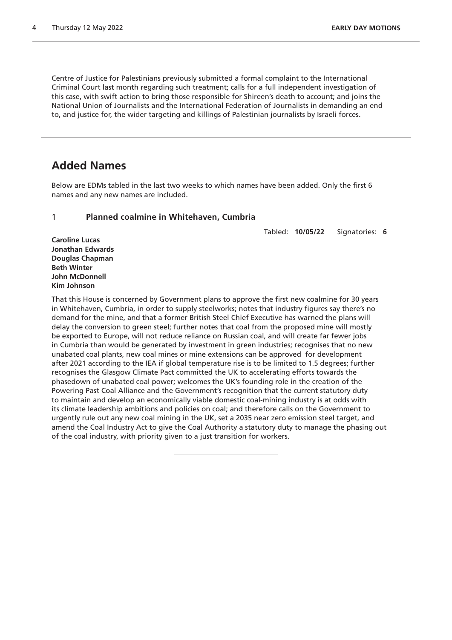Centre of Justice for Palestinians previously submitted a formal complaint to the International Criminal Court last month regarding such treatment; calls for a full independent investigation of this case, with swift action to bring those responsible for Shireen's death to account; and joins the National Union of Journalists and the International Federation of Journalists in demanding an end to, and justice for, the wider targeting and killings of Palestinian journalists by Israeli forces.

# **Added Names**

Below are EDMs tabled in the last two weeks to which names have been added. Only the first 6 names and any new names are included.

# 1 **Planned coalmine in Whitehaven, Cumbria**

Tabled: **10/05/22** Signatories: **6**

**Caroline Lucas Jonathan Edwards Douglas Chapman Beth Winter John McDonnell Kim Johnson**

That this House is concerned by Government plans to approve the first new coalmine for 30 years in Whitehaven, Cumbria, in order to supply steelworks; notes that industry figures say there's no demand for the mine, and that a former British Steel Chief Executive has warned the plans will delay the conversion to green steel; further notes that coal from the proposed mine will mostly be exported to Europe, will not reduce reliance on Russian coal, and will create far fewer jobs in Cumbria than would be generated by investment in green industries; recognises that no new unabated coal plants, new coal mines or mine extensions can be approved for development after 2021 according to the IEA if global temperature rise is to be limited to 1.5 degrees; further recognises the Glasgow Climate Pact committed the UK to accelerating efforts towards the phasedown of unabated coal power; welcomes the UK's founding role in the creation of the Powering Past Coal Alliance and the Government's recognition that the current statutory duty to maintain and develop an economically viable domestic coal-mining industry is at odds with its climate leadership ambitions and policies on coal; and therefore calls on the Government to urgently rule out any new coal mining in the UK, set a 2035 near zero emission steel target, and amend the Coal Industry Act to give the Coal Authority a statutory duty to manage the phasing out of the coal industry, with priority given to a just transition for workers.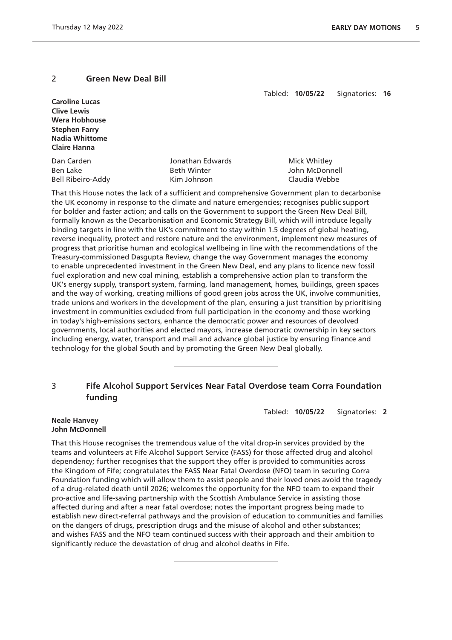# 2 **Green New Deal Bill**

Tabled: **10/05/22** Signatories: **16**

| <b>Caroline Lucas</b>    |                    |                |
|--------------------------|--------------------|----------------|
| <b>Clive Lewis</b>       |                    |                |
| <b>Wera Hobhouse</b>     |                    |                |
| <b>Stephen Farry</b>     |                    |                |
| <b>Nadia Whittome</b>    |                    |                |
| <b>Claire Hanna</b>      |                    |                |
| Dan Carden               | Jonathan Edwards   | Mick Whitley   |
| Ben Lake                 | <b>Beth Winter</b> | John McDonnell |
| <b>Bell Ribeiro-Addy</b> | Kim Johnson        | Claudia Webbe  |

That this House notes the lack of a sufficient and comprehensive Government plan to decarbonise the UK economy in response to the climate and nature emergencies; recognises public support for bolder and faster action; and calls on the Government to support the Green New Deal Bill, formally known as the Decarbonisation and Economic Strategy Bill, which will introduce legally binding targets in line with the UK's commitment to stay within 1.5 degrees of global heating, reverse inequality, protect and restore nature and the environment, implement new measures of progress that prioritise human and ecological wellbeing in line with the recommendations of the Treasury-commissioned Dasgupta Review, change the way Government manages the economy to enable unprecedented investment in the Green New Deal, end any plans to licence new fossil fuel exploration and new coal mining, establish a comprehensive action plan to transform the UK's energy supply, transport system, farming, land management, homes, buildings, green spaces and the way of working, creating millions of good green jobs across the UK, involve communities, trade unions and workers in the development of the plan, ensuring a just transition by prioritising investment in communities excluded from full participation in the economy and those working in today's high-emissions sectors, enhance the democratic power and resources of devolved governments, local authorities and elected mayors, increase democratic ownership in key sectors including energy, water, transport and mail and advance global justice by ensuring finance and technology for the global South and by promoting the Green New Deal globally.

# 3 **Fife Alcohol Support Services Near Fatal Overdose team Corra Foundation funding**

Tabled: **10/05/22** Signatories: **2**

#### **Neale Hanvey John McDonnell**

That this House recognises the tremendous value of the vital drop-in services provided by the teams and volunteers at Fife Alcohol Support Service (FASS) for those affected drug and alcohol dependency; further recognises that the support they offer is provided to communities across the Kingdom of Fife; congratulates the FASS Near Fatal Overdose (NFO) team in securing Corra Foundation funding which will allow them to assist people and their loved ones avoid the tragedy of a drug-related death until 2026; welcomes the opportunity for the NFO team to expand their pro-active and life-saving partnership with the Scottish Ambulance Service in assisting those affected during and after a near fatal overdose; notes the important progress being made to establish new direct-referral pathways and the provision of education to communities and families on the dangers of drugs, prescription drugs and the misuse of alcohol and other substances; and wishes FASS and the NFO team continued success with their approach and their ambition to significantly reduce the devastation of drug and alcohol deaths in Fife.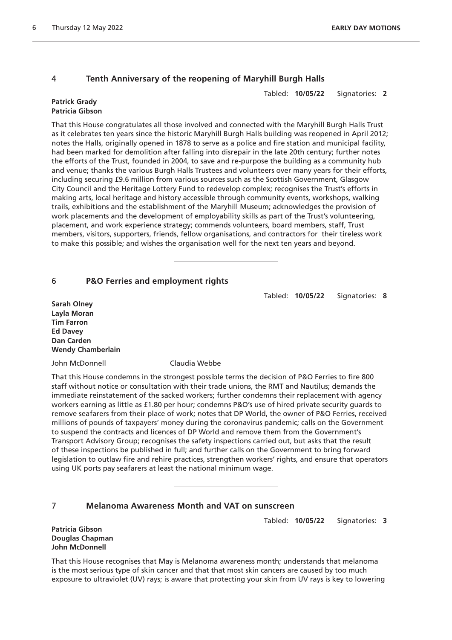# 4 **Tenth Anniversary of the reopening of Maryhill Burgh Halls**

Tabled: **10/05/22** Signatories: **2**

#### **Patrick Grady Patricia Gibson**

That this House congratulates all those involved and connected with the Maryhill Burgh Halls Trust as it celebrates ten years since the historic Maryhill Burgh Halls building was reopened in April 2012; notes the Halls, originally opened in 1878 to serve as a police and fire station and municipal facility, had been marked for demolition after falling into disrepair in the late 20th century; further notes the efforts of the Trust, founded in 2004, to save and re-purpose the building as a community hub and venue; thanks the various Burgh Halls Trustees and volunteers over many years for their efforts, including securing £9.6 million from various sources such as the Scottish Government, Glasgow City Council and the Heritage Lottery Fund to redevelop complex; recognises the Trust's efforts in making arts, local heritage and history accessible through community events, workshops, walking trails, exhibitions and the establishment of the Maryhill Museum; acknowledges the provision of work placements and the development of employability skills as part of the Trust's volunteering, placement, and work experience strategy; commends volunteers, board members, staff, Trust members, visitors, supporters, friends, fellow organisations, and contractors for their tireless work to make this possible; and wishes the organisation well for the next ten years and beyond.

# 6 **P&O Ferries and employment rights**

Tabled: **10/05/22** Signatories: **8**

**Sarah Olney Layla Moran Tim Farron Ed Davey Dan Carden Wendy Chamberlain**

John McDonnell Claudia Webbe

That this House condemns in the strongest possible terms the decision of P&O Ferries to fire 800 staff without notice or consultation with their trade unions, the RMT and Nautilus; demands the immediate reinstatement of the sacked workers; further condemns their replacement with agency workers earning as little as £1.80 per hour; condemns P&O's use of hired private security guards to remove seafarers from their place of work; notes that DP World, the owner of P&O Ferries, received millions of pounds of taxpayers' money during the coronavirus pandemic; calls on the Government to suspend the contracts and licences of DP World and remove them from the Government's Transport Advisory Group; recognises the safety inspections carried out, but asks that the result of these inspections be published in full; and further calls on the Government to bring forward legislation to outlaw fire and rehire practices, strengthen workers' rights, and ensure that operators using UK ports pay seafarers at least the national minimum wage.

# 7 **Melanoma Awareness Month and VAT on sunscreen**

Tabled: **10/05/22** Signatories: **3**

**Patricia Gibson Douglas Chapman John McDonnell**

That this House recognises that May is Melanoma awareness month; understands that melanoma is the most serious type of skin cancer and that that most skin cancers are caused by too much exposure to ultraviolet (UV) rays; is aware that protecting your skin from UV rays is key to lowering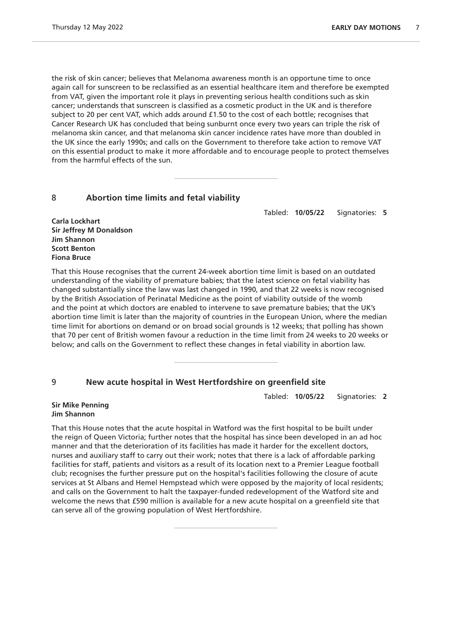the risk of skin cancer; believes that Melanoma awareness month is an opportune time to once again call for sunscreen to be reclassified as an essential healthcare item and therefore be exempted from VAT, given the important role it plays in preventing serious health conditions such as skin cancer; understands that sunscreen is classified as a cosmetic product in the UK and is therefore subject to 20 per cent VAT, which adds around £1.50 to the cost of each bottle; recognises that Cancer Research UK has concluded that being sunburnt once every two years can triple the risk of melanoma skin cancer, and that melanoma skin cancer incidence rates have more than doubled in the UK since the early 1990s; and calls on the Government to therefore take action to remove VAT on this essential product to make it more affordable and to encourage people to protect themselves from the harmful effects of the sun.

# 8 **Abortion time limits and fetal viability**

Tabled: **10/05/22** Signatories: **5**

**Carla Lockhart Sir Jeffrey M Donaldson Jim Shannon Scott Benton Fiona Bruce**

That this House recognises that the current 24-week abortion time limit is based on an outdated understanding of the viability of premature babies; that the latest science on fetal viability has changed substantially since the law was last changed in 1990, and that 22 weeks is now recognised by the British Association of Perinatal Medicine as the point of viability outside of the womb and the point at which doctors are enabled to intervene to save premature babies; that the UK's abortion time limit is later than the majority of countries in the European Union, where the median time limit for abortions on demand or on broad social grounds is 12 weeks; that polling has shown that 70 per cent of British women favour a reduction in the time limit from 24 weeks to 20 weeks or below; and calls on the Government to reflect these changes in fetal viability in abortion law.

# 9 **New acute hospital in West Hertfordshire on greenfield site**

Tabled: **10/05/22** Signatories: **2**

#### **Sir Mike Penning Jim Shannon**

That this House notes that the acute hospital in Watford was the first hospital to be built under the reign of Queen Victoria; further notes that the hospital has since been developed in an ad hoc manner and that the deterioration of its facilities has made it harder for the excellent doctors, nurses and auxiliary staff to carry out their work; notes that there is a lack of affordable parking facilities for staff, patients and visitors as a result of its location next to a Premier League football club; recognises the further pressure put on the hospital's facilities following the closure of acute services at St Albans and Hemel Hempstead which were opposed by the majority of local residents; and calls on the Government to halt the taxpayer-funded redevelopment of the Watford site and welcome the news that £590 million is available for a new acute hospital on a greenfield site that can serve all of the growing population of West Hertfordshire.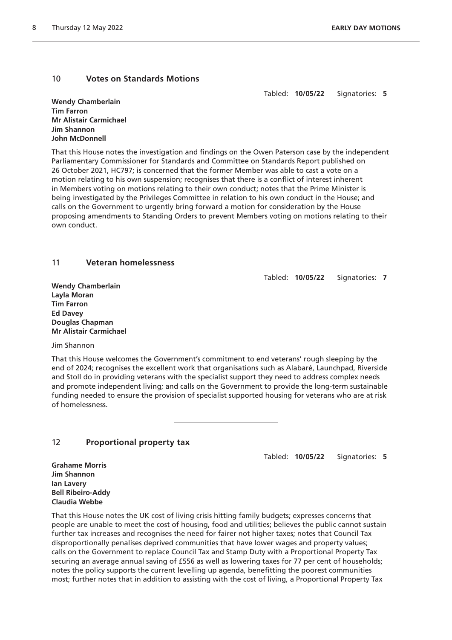# 10 **Votes on Standards Motions**

Tabled: **10/05/22** Signatories: **5**

**Wendy Chamberlain Tim Farron Mr Alistair Carmichael Jim Shannon John McDonnell**

That this House notes the investigation and findings on the Owen Paterson case by the independent Parliamentary Commissioner for Standards and Committee on Standards Report published on 26 October 2021, HC797; is concerned that the former Member was able to cast a vote on a motion relating to his own suspension; recognises that there is a conflict of interest inherent in Members voting on motions relating to their own conduct; notes that the Prime Minister is being investigated by the Privileges Committee in relation to his own conduct in the House; and calls on the Government to urgently bring forward a motion for consideration by the House proposing amendments to Standing Orders to prevent Members voting on motions relating to their own conduct.

# 11 **Veteran homelessness**

Tabled: **10/05/22** Signatories: **7**

**Wendy Chamberlain Layla Moran Tim Farron Ed Davey Douglas Chapman Mr Alistair Carmichael**

Jim Shannon

That this House welcomes the Government's commitment to end veterans' rough sleeping by the end of 2024; recognises the excellent work that organisations such as Alabaré, Launchpad, Riverside and Stoll do in providing veterans with the specialist support they need to address complex needs and promote independent living; and calls on the Government to provide the long-term sustainable funding needed to ensure the provision of specialist supported housing for veterans who are at risk of homelessness.

# 12 **Proportional property tax**

Tabled: **10/05/22** Signatories: **5**

**Grahame Morris Jim Shannon Ian Lavery Bell Ribeiro-Addy Claudia Webbe**

That this House notes the UK cost of living crisis hitting family budgets; expresses concerns that people are unable to meet the cost of housing, food and utilities; believes the public cannot sustain further tax increases and recognises the need for fairer not higher taxes; notes that Council Tax disproportionally penalises deprived communities that have lower wages and property values; calls on the Government to replace Council Tax and Stamp Duty with a Proportional Property Tax securing an average annual saving of £556 as well as lowering taxes for 77 per cent of households; notes the policy supports the current levelling up agenda, benefitting the poorest communities most; further notes that in addition to assisting with the cost of living, a Proportional Property Tax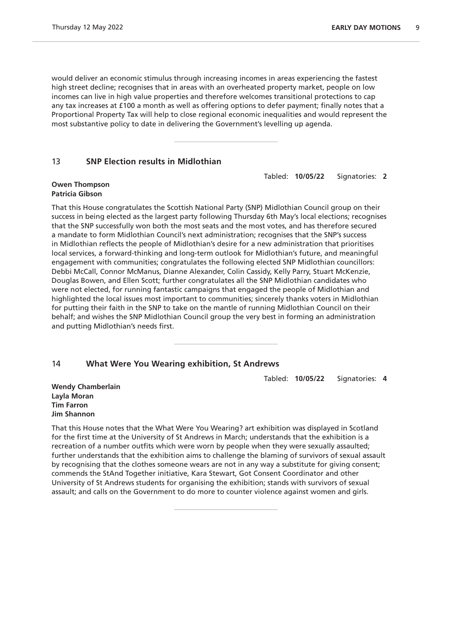would deliver an economic stimulus through increasing incomes in areas experiencing the fastest high street decline; recognises that in areas with an overheated property market, people on low incomes can live in high value properties and therefore welcomes transitional protections to cap any tax increases at £100 a month as well as offering options to defer payment; finally notes that a Proportional Property Tax will help to close regional economic inequalities and would represent the most substantive policy to date in delivering the Government's levelling up agenda.

## 13 **SNP Election results in Midlothian**

Tabled: **10/05/22** Signatories: **2**

#### **Owen Thompson Patricia Gibson**

That this House congratulates the Scottish National Party (SNP) Midlothian Council group on their success in being elected as the largest party following Thursday 6th May's local elections; recognises that the SNP successfully won both the most seats and the most votes, and has therefore secured a mandate to form Midlothian Council's next administration; recognises that the SNP's success in Midlothian reflects the people of Midlothian's desire for a new administration that prioritises local services, a forward-thinking and long-term outlook for Midlothian's future, and meaningful engagement with communities; congratulates the following elected SNP Midlothian councillors: Debbi McCall, Connor McManus, Dianne Alexander, Colin Cassidy, Kelly Parry, Stuart McKenzie, Douglas Bowen, and Ellen Scott; further congratulates all the SNP Midlothian candidates who were not elected, for running fantastic campaigns that engaged the people of Midlothian and highlighted the local issues most important to communities; sincerely thanks voters in Midlothian for putting their faith in the SNP to take on the mantle of running Midlothian Council on their behalf; and wishes the SNP Midlothian Council group the very best in forming an administration and putting Midlothian's needs first.

# 14 **What Were You Wearing exhibition, St Andrews**

Tabled: **10/05/22** Signatories: **4**

**Wendy Chamberlain Layla Moran Tim Farron Jim Shannon**

That this House notes that the What Were You Wearing? art exhibition was displayed in Scotland for the first time at the University of St Andrews in March; understands that the exhibition is a recreation of a number outfits which were worn by people when they were sexually assaulted; further understands that the exhibition aims to challenge the blaming of survivors of sexual assault by recognising that the clothes someone wears are not in any way a substitute for giving consent; commends the StAnd Together initiative, Kara Stewart, Got Consent Coordinator and other University of St Andrews students for organising the exhibition; stands with survivors of sexual assault; and calls on the Government to do more to counter violence against women and girls.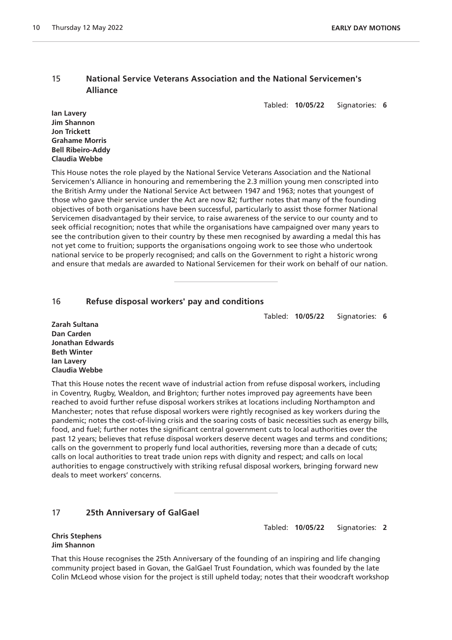# 15 **National Service Veterans Association and the National Servicemen's Alliance**

Tabled: **10/05/22** Signatories: **6**

**Ian Lavery Jim Shannon Jon Trickett Grahame Morris Bell Ribeiro-Addy Claudia Webbe**

This House notes the role played by the National Service Veterans Association and the National Servicemen's Alliance in honouring and remembering the 2.3 million young men conscripted into the British Army under the National Service Act between 1947 and 1963; notes that youngest of those who gave their service under the Act are now 82; further notes that many of the founding objectives of both organisations have been successful, particularly to assist those former National Servicemen disadvantaged by their service, to raise awareness of the service to our county and to seek official recognition; notes that while the organisations have campaigned over many years to see the contribution given to their country by these men recognised by awarding a medal this has not yet come to fruition; supports the organisations ongoing work to see those who undertook national service to be properly recognised; and calls on the Government to right a historic wrong and ensure that medals are awarded to National Servicemen for their work on behalf of our nation.

# 16 **Refuse disposal workers' pay and conditions**

Tabled: **10/05/22** Signatories: **6**

Tabled: **10/05/22** Signatories: **2**

**Zarah Sultana Dan Carden Jonathan Edwards Beth Winter Ian Lavery Claudia Webbe**

That this House notes the recent wave of industrial action from refuse disposal workers, including in Coventry, Rugby, Wealdon, and Brighton; further notes improved pay agreements have been reached to avoid further refuse disposal workers strikes at locations including Northampton and Manchester; notes that refuse disposal workers were rightly recognised as key workers during the pandemic; notes the cost-of-living crisis and the soaring costs of basic necessities such as energy bills, food, and fuel; further notes the significant central government cuts to local authorities over the past 12 years; believes that refuse disposal workers deserve decent wages and terms and conditions; calls on the government to properly fund local authorities, reversing more than a decade of cuts; calls on local authorities to treat trade union reps with dignity and respect; and calls on local authorities to engage constructively with striking refusal disposal workers, bringing forward new deals to meet workers' concerns.

# 17 **25th Anniversary of GalGael**

**Chris Stephens Jim Shannon**

That this House recognises the 25th Anniversary of the founding of an inspiring and life changing community project based in Govan, the GalGael Trust Foundation, which was founded by the late Colin McLeod whose vision for the project is still upheld today; notes that their woodcraft workshop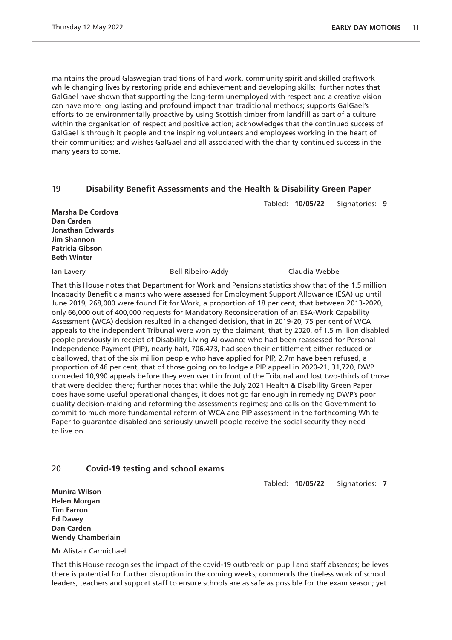maintains the proud Glaswegian traditions of hard work, community spirit and skilled craftwork while changing lives by restoring pride and achievement and developing skills; further notes that GalGael have shown that supporting the long-term unemployed with respect and a creative vision can have more long lasting and profound impact than traditional methods; supports GalGael's efforts to be environmentally proactive by using Scottish timber from landfill as part of a culture within the organisation of respect and positive action; acknowledges that the continued success of GalGael is through it people and the inspiring volunteers and employees working in the heart of their communities; and wishes GalGael and all associated with the charity continued success in the many years to come.

# 19 **Disability Benefit Assessments and the Health & Disability Green Paper**

**Marsha De Cordova Dan Carden Jonathan Edwards Jim Shannon Patricia Gibson Beth Winter**

Ian Lavery Bell Ribeiro-Addy Claudia Webbe

Tabled: **10/05/22** Signatories: **9**

That this House notes that Department for Work and Pensions statistics show that of the 1.5 million Incapacity Benefit claimants who were assessed for Employment Support Allowance (ESA) up until June 2019, 268,000 were found Fit for Work, a proportion of 18 per cent, that between 2013-2020, only 66,000 out of 400,000 requests for Mandatory Reconsideration of an ESA-Work Capability Assessment (WCA) decision resulted in a changed decision, that in 2019-20, 75 per cent of WCA appeals to the independent Tribunal were won by the claimant, that by 2020, of 1.5 million disabled people previously in receipt of Disability Living Allowance who had been reassessed for Personal Independence Payment (PIP), nearly half, 706,473, had seen their entitlement either reduced or disallowed, that of the six million people who have applied for PIP, 2.7m have been refused, a proportion of 46 per cent, that of those going on to lodge a PIP appeal in 2020-21, 31,720, DWP conceded 10,990 appeals before they even went in front of the Tribunal and lost two-thirds of those that were decided there; further notes that while the July 2021 Health & Disability Green Paper does have some useful operational changes, it does not go far enough in remedying DWP's poor quality decision-making and reforming the assessments regimes; and calls on the Government to commit to much more fundamental reform of WCA and PIP assessment in the forthcoming White Paper to guarantee disabled and seriously unwell people receive the social security they need to live on.

# 20 **Covid-19 testing and school exams**

Tabled: **10/05/22** Signatories: **7**

**Munira Wilson Helen Morgan Tim Farron Ed Davey Dan Carden Wendy Chamberlain**

Mr Alistair Carmichael

That this House recognises the impact of the covid-19 outbreak on pupil and staff absences; believes there is potential for further disruption in the coming weeks; commends the tireless work of school leaders, teachers and support staff to ensure schools are as safe as possible for the exam season; yet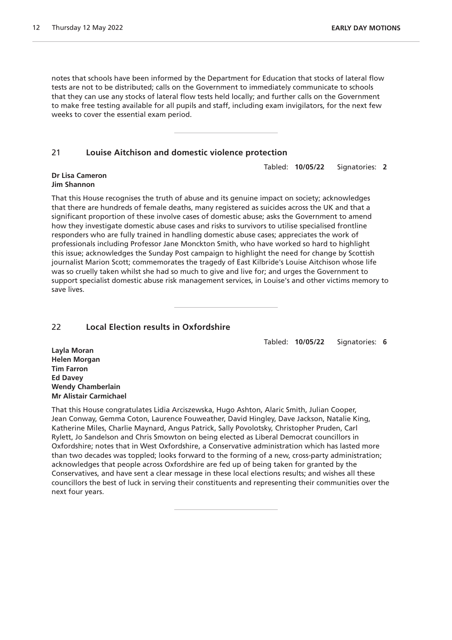notes that schools have been informed by the Department for Education that stocks of lateral flow tests are not to be distributed; calls on the Government to immediately communicate to schools that they can use any stocks of lateral flow tests held locally; and further calls on the Government to make free testing available for all pupils and staff, including exam invigilators, for the next few weeks to cover the essential exam period.

# 21 **Louise Aitchison and domestic violence protection**

Tabled: **10/05/22** Signatories: **2**

#### **Dr Lisa Cameron Jim Shannon**

That this House recognises the truth of abuse and its genuine impact on society; acknowledges that there are hundreds of female deaths, many registered as suicides across the UK and that a significant proportion of these involve cases of domestic abuse; asks the Government to amend how they investigate domestic abuse cases and risks to survivors to utilise specialised frontline responders who are fully trained in handling domestic abuse cases; appreciates the work of professionals including Professor Jane Monckton Smith, who have worked so hard to highlight this issue; acknowledges the Sunday Post campaign to highlight the need for change by Scottish journalist Marion Scott; commemorates the tragedy of East Kilbride's Louise Aitchison whose life was so cruelly taken whilst she had so much to give and live for; and urges the Government to support specialist domestic abuse risk management services, in Louise's and other victims memory to save lives.

# 22 **Local Election results in Oxfordshire**

Tabled: **10/05/22** Signatories: **6**

**Layla Moran Helen Morgan Tim Farron Ed Davey Wendy Chamberlain Mr Alistair Carmichael**

That this House congratulates Lidia Arciszewska, Hugo Ashton, Alaric Smith, Julian Cooper, Jean Conway, Gemma Coton, Laurence Fouweather, David Hingley, Dave Jackson, Natalie King, Katherine Miles, Charlie Maynard, Angus Patrick, Sally Povolotsky, Christopher Pruden, Carl Rylett, Jo Sandelson and Chris Smowton on being elected as Liberal Democrat councillors in Oxfordshire; notes that in West Oxfordshire, a Conservative administration which has lasted more than two decades was toppled; looks forward to the forming of a new, cross-party administration; acknowledges that people across Oxfordshire are fed up of being taken for granted by the Conservatives, and have sent a clear message in these local elections results; and wishes all these councillors the best of luck in serving their constituents and representing their communities over the next four years.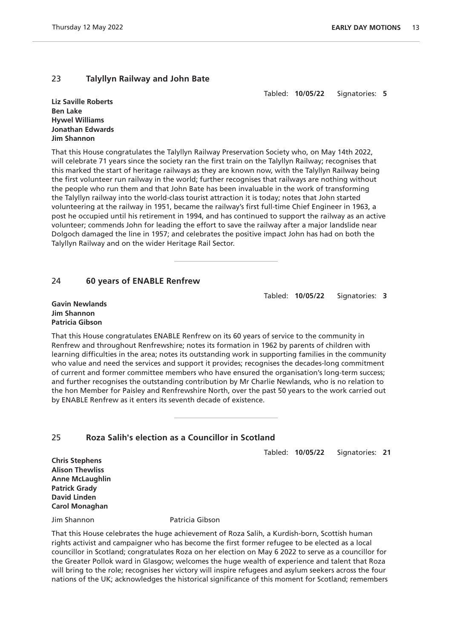# 23 **Talyllyn Railway and John Bate**

Tabled: **10/05/22** Signatories: **5**

**Liz Saville Roberts Ben Lake Hywel Williams Jonathan Edwards Jim Shannon**

That this House congratulates the Talyllyn Railway Preservation Society who, on May 14th 2022, will celebrate 71 years since the society ran the first train on the Talyllyn Railway; recognises that this marked the start of heritage railways as they are known now, with the Talyllyn Railway being the first volunteer run railway in the world; further recognises that railways are nothing without the people who run them and that John Bate has been invaluable in the work of transforming the Talyllyn railway into the world-class tourist attraction it is today; notes that John started volunteering at the railway in 1951, became the railway's first full-time Chief Engineer in 1963, a post he occupied until his retirement in 1994, and has continued to support the railway as an active volunteer; commends John for leading the effort to save the railway after a major landslide near Dolgoch damaged the line in 1957; and celebrates the positive impact John has had on both the Talyllyn Railway and on the wider Heritage Rail Sector.

# 24 **60 years of ENABLE Renfrew**

Tabled: **10/05/22** Signatories: **3**

**Gavin Newlands Jim Shannon Patricia Gibson**

That this House congratulates ENABLE Renfrew on its 60 years of service to the community in Renfrew and throughout Renfrewshire; notes its formation in 1962 by parents of children with learning difficulties in the area; notes its outstanding work in supporting families in the community who value and need the services and support it provides; recognises the decades-long commitment of current and former committee members who have ensured the organisation's long-term success; and further recognises the outstanding contribution by Mr Charlie Newlands, who is no relation to the hon Member for Paisley and Renfrewshire North, over the past 50 years to the work carried out by ENABLE Renfrew as it enters its seventh decade of existence.

# 25 **Roza Salih's election as a Councillor in Scotland**

Tabled: **10/05/22** Signatories: **21**

**Chris Stephens Alison Thewliss Anne McLaughlin Patrick Grady David Linden Carol Monaghan**

Jim Shannon Patricia Gibson

That this House celebrates the huge achievement of Roza Salih, a Kurdish-born, Scottish human rights activist and campaigner who has become the first former refugee to be elected as a local councillor in Scotland; congratulates Roza on her election on May 6 2022 to serve as a councillor for the Greater Pollok ward in Glasgow; welcomes the huge wealth of experience and talent that Roza will bring to the role; recognises her victory will inspire refugees and asylum seekers across the four nations of the UK; acknowledges the historical significance of this moment for Scotland; remembers